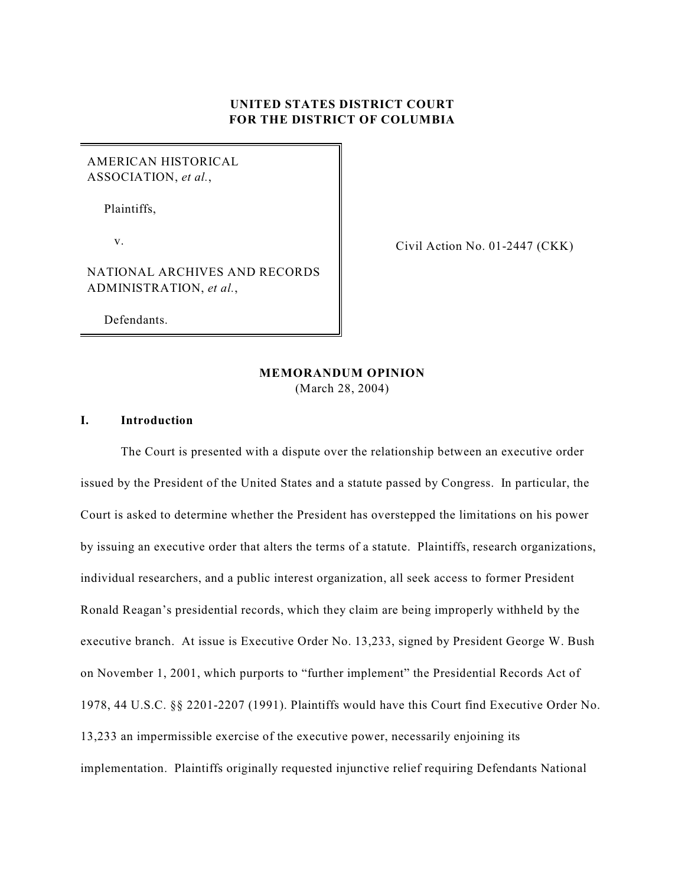# **UNITED STATES DISTRICT COURT FOR THE DISTRICT OF COLUMBIA**

# AMERICAN HISTORICAL ASSOCIATION, *et al.*,

Plaintiffs,

v.

Civil Action No. 01-2447 (CKK)

# NATIONAL ARCHIVES AND RECORDS ADMINISTRATION, *et al.*,

Defendants.

# **MEMORANDUM OPINION**

(March 28, 2004)

### **I. Introduction**

The Court is presented with a dispute over the relationship between an executive order issued by the President of the United States and a statute passed by Congress. In particular, the Court is asked to determine whether the President has overstepped the limitations on his power by issuing an executive order that alters the terms of a statute. Plaintiffs, research organizations, individual researchers, and a public interest organization, all seek access to former President Ronald Reagan's presidential records, which they claim are being improperly withheld by the executive branch. At issue is Executive Order No. 13,233, signed by President George W. Bush on November 1, 2001, which purports to "further implement" the Presidential Records Act of 1978, 44 U.S.C. §§ 2201-2207 (1991). Plaintiffs would have this Court find Executive Order No. 13,233 an impermissible exercise of the executive power, necessarily enjoining its implementation. Plaintiffs originally requested injunctive relief requiring Defendants National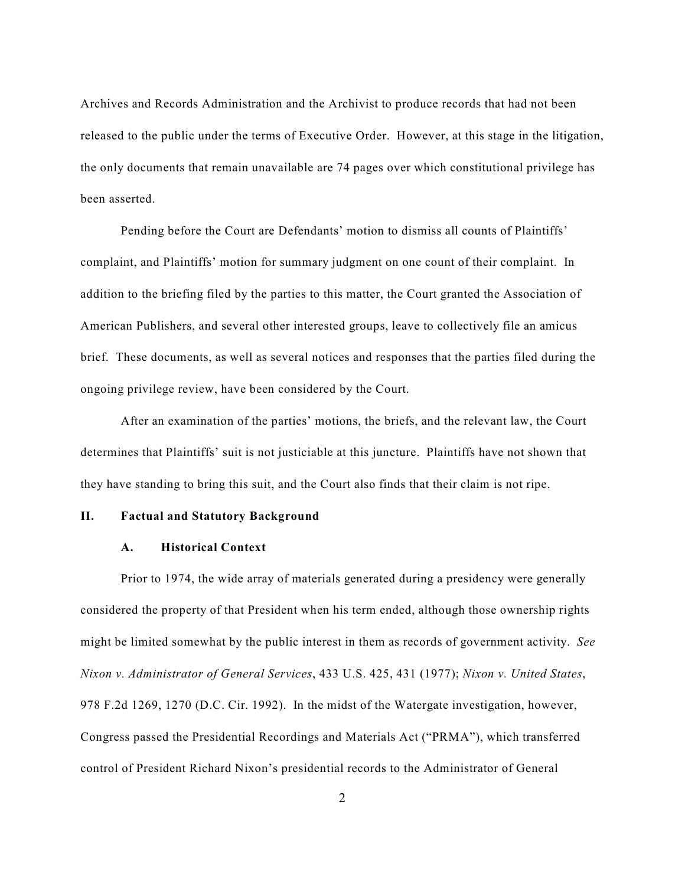Archives and Records Administration and the Archivist to produce records that had not been released to the public under the terms of Executive Order. However, at this stage in the litigation, the only documents that remain unavailable are 74 pages over which constitutional privilege has been asserted.

Pending before the Court are Defendants' motion to dismiss all counts of Plaintiffs' complaint, and Plaintiffs' motion for summary judgment on one count of their complaint. In addition to the briefing filed by the parties to this matter, the Court granted the Association of American Publishers, and several other interested groups, leave to collectively file an amicus brief. These documents, as well as several notices and responses that the parties filed during the ongoing privilege review, have been considered by the Court.

After an examination of the parties' motions, the briefs, and the relevant law, the Court determines that Plaintiffs' suit is not justiciable at this juncture. Plaintiffs have not shown that they have standing to bring this suit, and the Court also finds that their claim is not ripe.

### **II. Factual and Statutory Background**

#### **A. Historical Context**

Prior to 1974, the wide array of materials generated during a presidency were generally considered the property of that President when his term ended, although those ownership rights might be limited somewhat by the public interest in them as records of government activity. *See Nixon v. Administrator of General Services*, 433 U.S. 425, 431 (1977); *Nixon v. United States*, 978 F.2d 1269, 1270 (D.C. Cir. 1992). In the midst of the Watergate investigation, however, Congress passed the Presidential Recordings and Materials Act ("PRMA"), which transferred control of President Richard Nixon's presidential records to the Administrator of General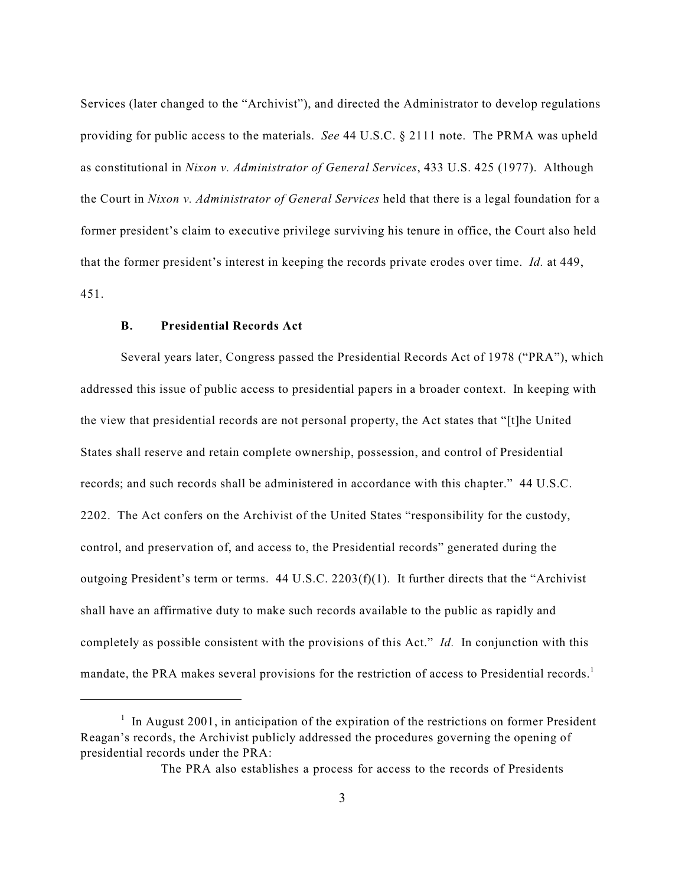Services (later changed to the "Archivist"), and directed the Administrator to develop regulations providing for public access to the materials. *See* 44 U.S.C. § 2111 note. The PRMA was upheld as constitutional in *Nixon v. Administrator of General Services*, 433 U.S. 425 (1977). Although the Court in *Nixon v. Administrator of General Services* held that there is a legal foundation for a former president's claim to executive privilege surviving his tenure in office, the Court also held that the former president's interest in keeping the records private erodes over time. *Id.* at 449, 451.

### **B. Presidential Records Act**

Several years later, Congress passed the Presidential Records Act of 1978 ("PRA"), which addressed this issue of public access to presidential papers in a broader context. In keeping with the view that presidential records are not personal property, the Act states that "[t]he United States shall reserve and retain complete ownership, possession, and control of Presidential records; and such records shall be administered in accordance with this chapter." 44 U.S.C. 2202. The Act confers on the Archivist of the United States "responsibility for the custody, control, and preservation of, and access to, the Presidential records" generated during the outgoing President's term or terms.  $44 \text{ U.S.C. } 2203 \text{ (f)}(1)$ . It further directs that the "Archivist" shall have an affirmative duty to make such records available to the public as rapidly and completely as possible consistent with the provisions of this Act." *Id.* In conjunction with this mandate, the PRA makes several provisions for the restriction of access to Presidential records.<sup>1</sup>

 $\frac{1}{1}$  In August 2001, in anticipation of the expiration of the restrictions on former President Reagan's records, the Archivist publicly addressed the procedures governing the opening of presidential records under the PRA:

The PRA also establishes a process for access to the records of Presidents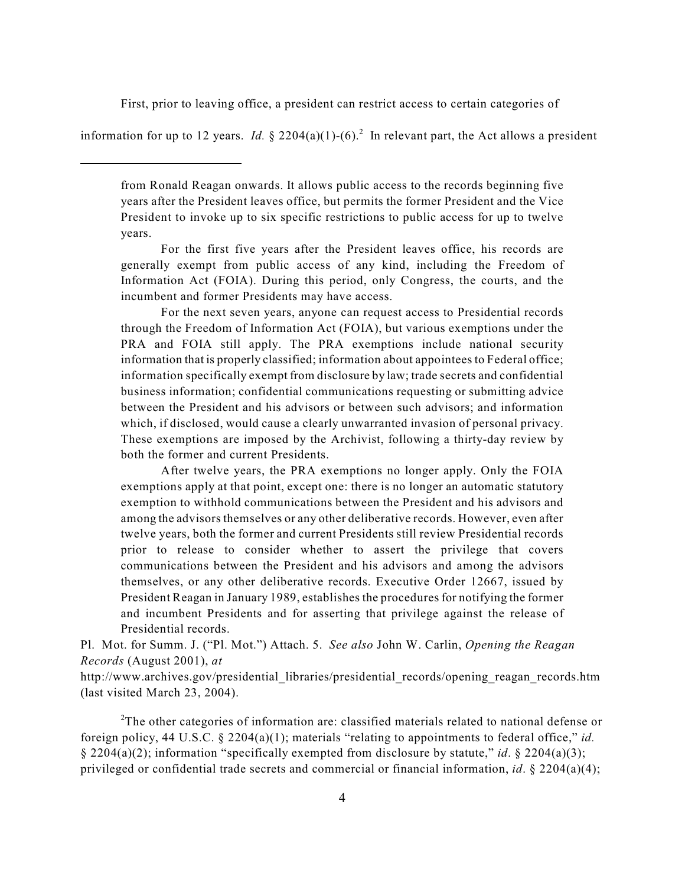First, prior to leaving office, a president can restrict access to certain categories of

information for up to 12 years. *Id.* § 2204(a)(1)-(6).<sup>2</sup> In relevant part, the Act allows a president

For the first five years after the President leaves office, his records are generally exempt from public access of any kind, including the Freedom of Information Act (FOIA). During this period, only Congress, the courts, and the incumbent and former Presidents may have access.

For the next seven years, anyone can request access to Presidential records through the Freedom of Information Act (FOIA), but various exemptions under the PRA and FOIA still apply. The PRA exemptions include national security information that is properly classified; information about appointees to Federal office; information specifically exempt from disclosure by law; trade secrets and confidential business information; confidential communications requesting or submitting advice between the President and his advisors or between such advisors; and information which, if disclosed, would cause a clearly unwarranted invasion of personal privacy. These exemptions are imposed by the Archivist, following a thirty-day review by both the former and current Presidents.

After twelve years, the PRA exemptions no longer apply. Only the FOIA exemptions apply at that point, except one: there is no longer an automatic statutory exemption to withhold communications between the President and his advisors and among the advisors themselves or any other deliberative records. However, even after twelve years, both the former and current Presidents still review Presidential records prior to release to consider whether to assert the privilege that covers communications between the President and his advisors and among the advisors themselves, or any other deliberative records. Executive Order 12667, issued by President Reagan in January 1989, establishes the procedures for notifying the former and incumbent Presidents and for asserting that privilege against the release of Presidential records.

Pl. Mot. for Summ. J. ("Pl. Mot.") Attach. 5. *See also* John W. Carlin, *Opening the Reagan Records* (August 2001), *at*

http://www.archives.gov/presidential\_libraries/presidential\_records/opening\_reagan\_records.htm (last visited March 23, 2004).

<sup>2</sup>The other categories of information are: classified materials related to national defense or foreign policy, 44 U.S.C. § 2204(a)(1); materials "relating to appointments to federal office," *id.* § 2204(a)(2); information "specifically exempted from disclosure by statute," *id*. § 2204(a)(3); privileged or confidential trade secrets and commercial or financial information, *id*. § 2204(a)(4);

from Ronald Reagan onwards. It allows public access to the records beginning five years after the President leaves office, but permits the former President and the Vice President to invoke up to six specific restrictions to public access for up to twelve years.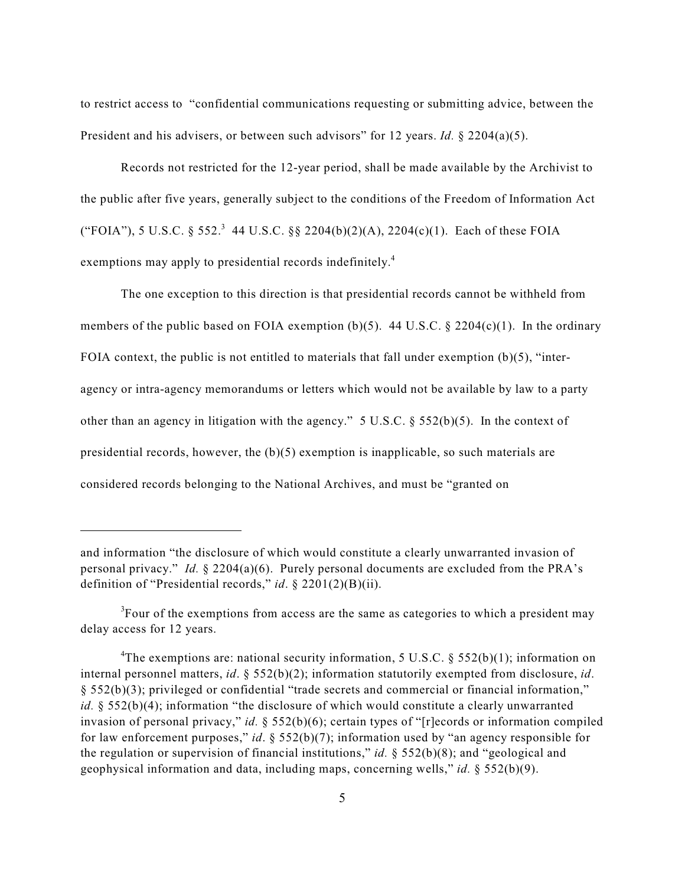to restrict access to "confidential communications requesting or submitting advice, between the President and his advisers, or between such advisors" for 12 years. *Id.* § 2204(a)(5).

Records not restricted for the 12-year period, shall be made available by the Archivist to the public after five years, generally subject to the conditions of the Freedom of Information Act ("FOIA"), 5 U.S.C. § 552.<sup>3</sup> 44 U.S.C. §§ 2204(b)(2)(A), 2204(c)(1). Each of these FOIA exemptions may apply to presidential records indefinitely.<sup>4</sup>

The one exception to this direction is that presidential records cannot be withheld from members of the public based on FOIA exemption (b)(5). 44 U.S.C.  $\S$  2204(c)(1). In the ordinary FOIA context, the public is not entitled to materials that fall under exemption  $(b)(5)$ , "interagency or intra-agency memorandums or letters which would not be available by law to a party other than an agency in litigation with the agency." 5 U.S.C. § 552(b)(5). In the context of presidential records, however, the  $(b)(5)$  exemption is inapplicable, so such materials are considered records belonging to the National Archives, and must be "granted on

and information "the disclosure of which would constitute a clearly unwarranted invasion of personal privacy." *Id.*  $\S$  2204(a)(6). Purely personal documents are excluded from the PRA's definition of "Presidential records," *id*. § 2201(2)(B)(ii).

 ${}^{3}$ Four of the exemptions from access are the same as categories to which a president may delay access for 12 years.

<sup>&</sup>lt;sup>4</sup>The exemptions are: national security information, 5 U.S.C. § 552(b)(1); information on internal personnel matters, *id*. § 552(b)(2); information statutorily exempted from disclosure, *id*. § 552(b)(3); privileged or confidential "trade secrets and commercial or financial information," *id.* § 552(b)(4); information "the disclosure of which would constitute a clearly unwarranted invasion of personal privacy," *id.* § 552(b)(6); certain types of "[r]ecords or information compiled for law enforcement purposes," *id*. § 552(b)(7); information used by "an agency responsible for the regulation or supervision of financial institutions," *id.* § 552(b)(8); and "geological and geophysical information and data, including maps, concerning wells," *id.* § 552(b)(9).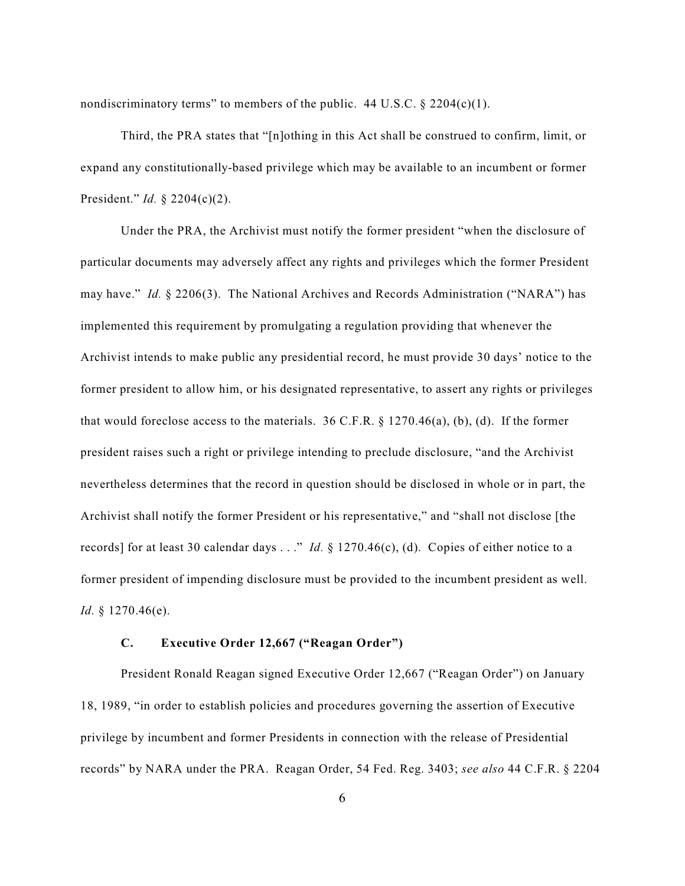nondiscriminatory terms" to members of the public.  $44 \text{ U.S.C.} \$   $2204(c)(1)$ .

Third, the PRA states that "[n]othing in this Act shall be construed to confirm, limit, or expand any constitutionally-based privilege which may be available to an incumbent or former President." *Id.* § 2204(c)(2).

Under the PRA, the Archivist must notify the former president "when the disclosure of particular documents may adversely affect any rights and privileges which the former President may have." *Id.* § 2206(3). The National Archives and Records Administration ("NARA") has implemented this requirement by promulgating a regulation providing that whenever the Archivist intends to make public any presidential record, he must provide 30 days' notice to the former president to allow him, or his designated representative, to assert any rights or privileges that would foreclose access to the materials.  $36 \text{ C.F.R.}$  §  $1270.46(a)$ , (b), (d). If the former president raises such a right or privilege intending to preclude disclosure, "and the Archivist nevertheless determines that the record in question should be disclosed in whole or in part, the Archivist shall notify the former President or his representative," and "shall not disclose [the records] for at least 30 calendar days . . ." *Id.* § 1270.46(c), (d). Copies of either notice to a former president of impending disclosure must be provided to the incumbent president as well. *Id.* § 1270.46(e).

## **C. Executive Order 12,667 ("Reagan Order")**

President Ronald Reagan signed Executive Order 12,667 ("Reagan Order") on January 18, 1989, "in order to establish policies and procedures governing the assertion of Executive privilege by incumbent and former Presidents in connection with the release of Presidential records" by NARA under the PRA. Reagan Order, 54 Fed. Reg. 3403; *see also* 44 C.F.R. § 2204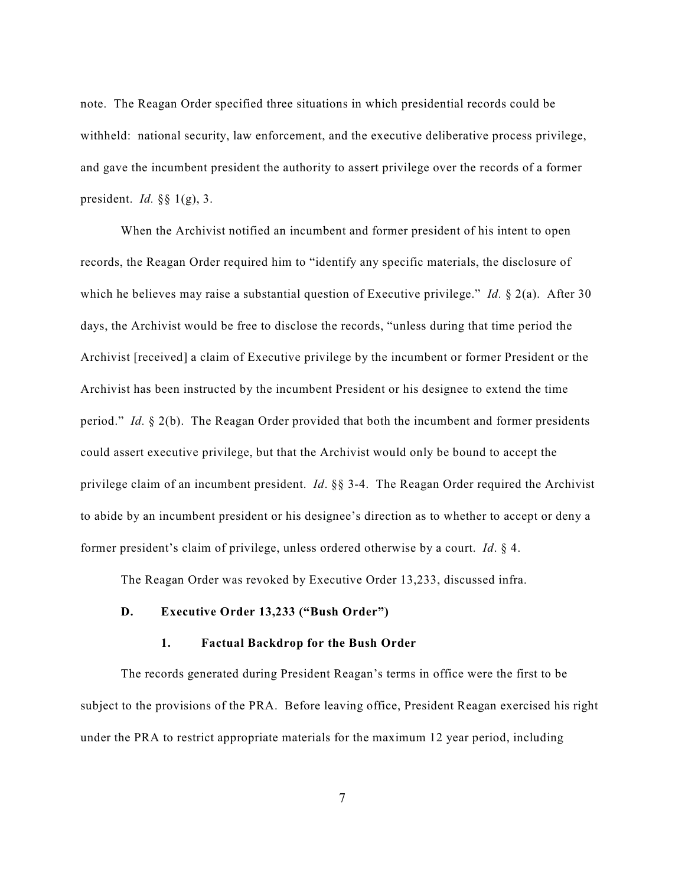note. The Reagan Order specified three situations in which presidential records could be withheld: national security, law enforcement, and the executive deliberative process privilege, and gave the incumbent president the authority to assert privilege over the records of a former president. *Id.* §§ 1(g), 3.

When the Archivist notified an incumbent and former president of his intent to open records, the Reagan Order required him to "identify any specific materials, the disclosure of which he believes may raise a substantial question of Executive privilege." *Id.* § 2(a). After 30 days, the Archivist would be free to disclose the records, "unless during that time period the Archivist [received] a claim of Executive privilege by the incumbent or former President or the Archivist has been instructed by the incumbent President or his designee to extend the time period." *Id.* § 2(b). The Reagan Order provided that both the incumbent and former presidents could assert executive privilege, but that the Archivist would only be bound to accept the privilege claim of an incumbent president. *Id*. §§ 3-4. The Reagan Order required the Archivist to abide by an incumbent president or his designee's direction as to whether to accept or deny a former president's claim of privilege, unless ordered otherwise by a court. *Id*. § 4.

The Reagan Order was revoked by Executive Order 13,233, discussed infra.

## **D. Executive Order 13,233 ("Bush Order")**

#### **1. Factual Backdrop for the Bush Order**

The records generated during President Reagan's terms in office were the first to be subject to the provisions of the PRA. Before leaving office, President Reagan exercised his right under the PRA to restrict appropriate materials for the maximum 12 year period, including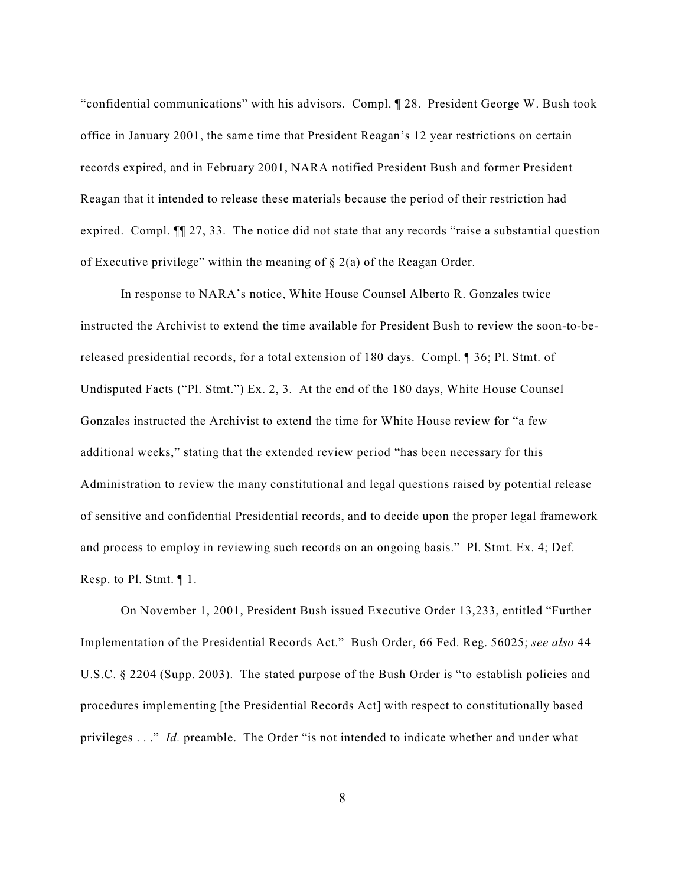"confidential communications" with his advisors. Compl. ¶ 28. President George W. Bush took office in January 2001, the same time that President Reagan's 12 year restrictions on certain records expired, and in February 2001, NARA notified President Bush and former President Reagan that it intended to release these materials because the period of their restriction had expired. Compl. ¶¶ 27, 33. The notice did not state that any records "raise a substantial question of Executive privilege" within the meaning of  $\S$  2(a) of the Reagan Order.

In response to NARA's notice, White House Counsel Alberto R. Gonzales twice instructed the Archivist to extend the time available for President Bush to review the soon-to-bereleased presidential records, for a total extension of 180 days. Compl. ¶ 36; Pl. Stmt. of Undisputed Facts ("Pl. Stmt.") Ex. 2, 3. At the end of the 180 days, White House Counsel Gonzales instructed the Archivist to extend the time for White House review for "a few additional weeks," stating that the extended review period "has been necessary for this Administration to review the many constitutional and legal questions raised by potential release of sensitive and confidential Presidential records, and to decide upon the proper legal framework and process to employ in reviewing such records on an ongoing basis." Pl. Stmt. Ex. 4; Def. Resp. to Pl. Stmt. ¶ 1.

On November 1, 2001, President Bush issued Executive Order 13,233, entitled "Further Implementation of the Presidential Records Act." Bush Order, 66 Fed. Reg. 56025; *see also* 44 U.S.C. § 2204 (Supp. 2003). The stated purpose of the Bush Order is "to establish policies and procedures implementing [the Presidential Records Act] with respect to constitutionally based privileges . . ." *Id.* preamble. The Order "is not intended to indicate whether and under what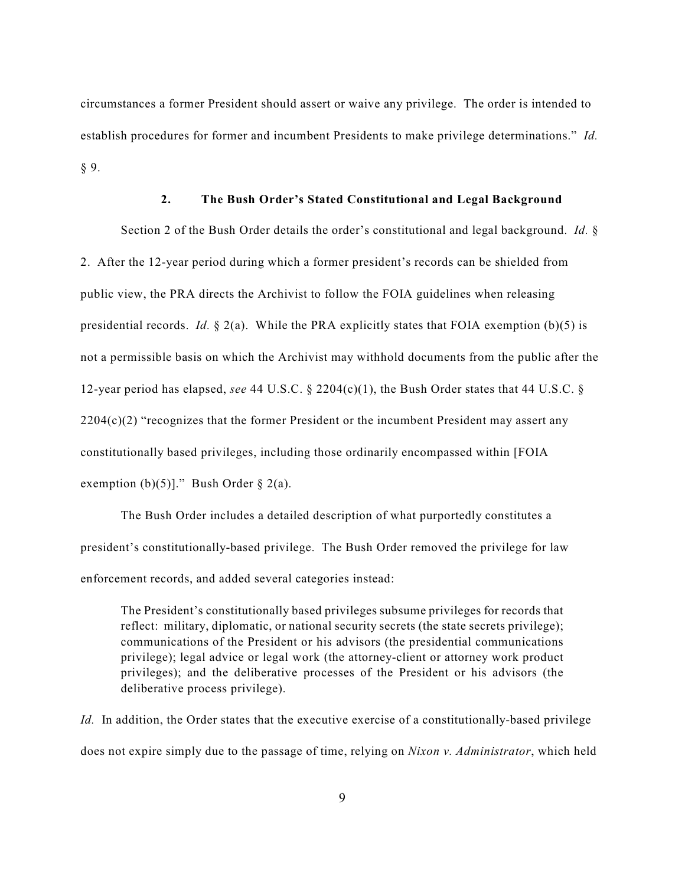circumstances a former President should assert or waive any privilege. The order is intended to establish procedures for former and incumbent Presidents to make privilege determinations." *Id.* § 9.

### **2. The Bush Order's Stated Constitutional and Legal Background**

Section 2 of the Bush Order details the order's constitutional and legal background. *Id.* § 2. After the 12-year period during which a former president's records can be shielded from public view, the PRA directs the Archivist to follow the FOIA guidelines when releasing presidential records. *Id.* § 2(a). While the PRA explicitly states that FOIA exemption (b)(5) is not a permissible basis on which the Archivist may withhold documents from the public after the 12-year period has elapsed, *see* 44 U.S.C.  $\S$  2204(c)(1), the Bush Order states that 44 U.S.C.  $\S$  $2204(c)(2)$  "recognizes that the former President or the incumbent President may assert any constitutionally based privileges, including those ordinarily encompassed within [FOIA exemption  $(b)(5)$ ]." Bush Order § 2(a).

The Bush Order includes a detailed description of what purportedly constitutes a president's constitutionally-based privilege. The Bush Order removed the privilege for law enforcement records, and added several categories instead:

The President's constitutionally based privileges subsume privileges for records that reflect: military, diplomatic, or national security secrets (the state secrets privilege); communications of the President or his advisors (the presidential communications privilege); legal advice or legal work (the attorney-client or attorney work product privileges); and the deliberative processes of the President or his advisors (the deliberative process privilege).

*Id.* In addition, the Order states that the executive exercise of a constitutionally-based privilege does not expire simply due to the passage of time, relying on *Nixon v. Administrator*, which held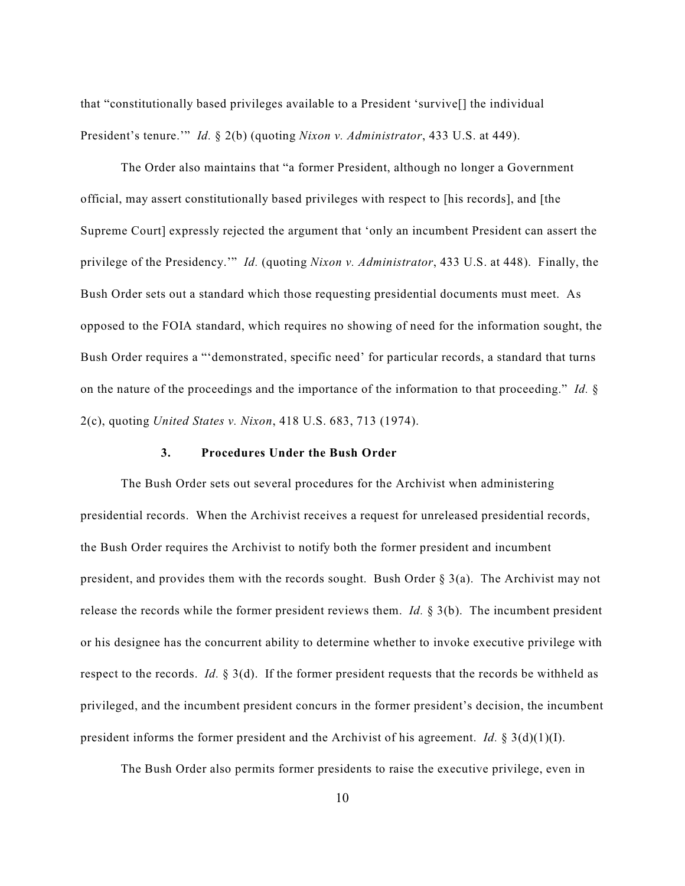that "constitutionally based privileges available to a President 'survive[] the individual President's tenure.'" *Id.* § 2(b) (quoting *Nixon v. Administrator*, 433 U.S. at 449).

The Order also maintains that "a former President, although no longer a Government official, may assert constitutionally based privileges with respect to [his records], and [the Supreme Court] expressly rejected the argument that 'only an incumbent President can assert the privilege of the Presidency.'" *Id.* (quoting *Nixon v. Administrator*, 433 U.S. at 448). Finally, the Bush Order sets out a standard which those requesting presidential documents must meet. As opposed to the FOIA standard, which requires no showing of need for the information sought, the Bush Order requires a "'demonstrated, specific need' for particular records, a standard that turns on the nature of the proceedings and the importance of the information to that proceeding." *Id.* § 2(c), quoting *United States v. Nixon*, 418 U.S. 683, 713 (1974).

### **3. Procedures Under the Bush Order**

The Bush Order sets out several procedures for the Archivist when administering presidential records. When the Archivist receives a request for unreleased presidential records, the Bush Order requires the Archivist to notify both the former president and incumbent president, and provides them with the records sought. Bush Order  $\S$  3(a). The Archivist may not release the records while the former president reviews them. *Id.* § 3(b). The incumbent president or his designee has the concurrent ability to determine whether to invoke executive privilege with respect to the records. *Id.* § 3(d). If the former president requests that the records be withheld as privileged, and the incumbent president concurs in the former president's decision, the incumbent president informs the former president and the Archivist of his agreement. *Id.* § 3(d)(1)(I).

The Bush Order also permits former presidents to raise the executive privilege, even in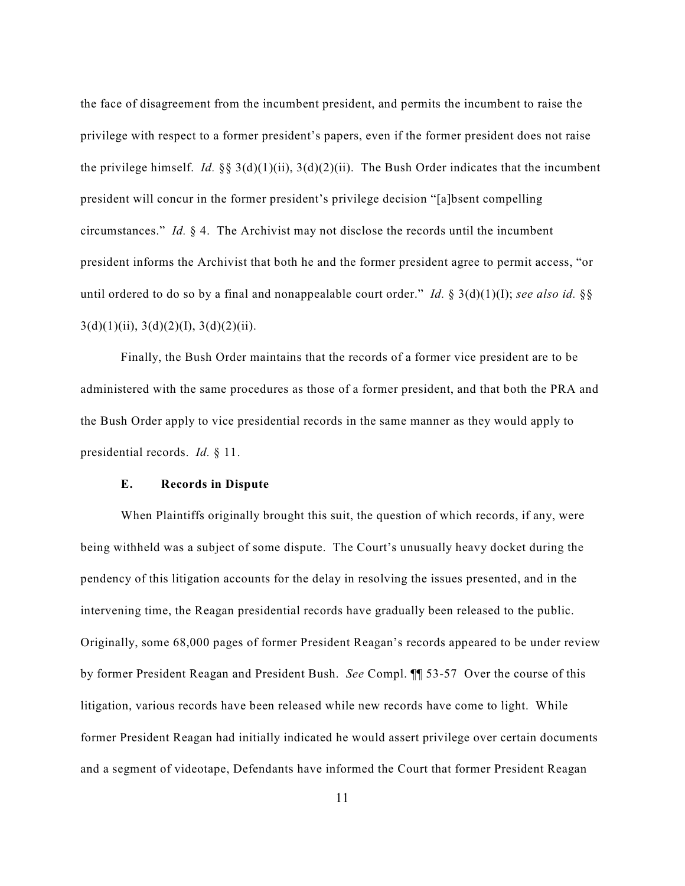the face of disagreement from the incumbent president, and permits the incumbent to raise the privilege with respect to a former president's papers, even if the former president does not raise the privilege himself. *Id.* §§  $3(d)(1)(ii)$ ,  $3(d)(2)(ii)$ . The Bush Order indicates that the incumbent president will concur in the former president's privilege decision "[a]bsent compelling circumstances." *Id.* § 4. The Archivist may not disclose the records until the incumbent president informs the Archivist that both he and the former president agree to permit access, "or until ordered to do so by a final and nonappealable court order." *Id.* § 3(d)(1)(I); *see also id.* §§  $3(d)(1)(ii)$ ,  $3(d)(2)(I)$ ,  $3(d)(2)(ii)$ .

Finally, the Bush Order maintains that the records of a former vice president are to be administered with the same procedures as those of a former president, and that both the PRA and the Bush Order apply to vice presidential records in the same manner as they would apply to presidential records. *Id.* § 11.

#### **E. Records in Dispute**

When Plaintiffs originally brought this suit, the question of which records, if any, were being withheld was a subject of some dispute. The Court's unusually heavy docket during the pendency of this litigation accounts for the delay in resolving the issues presented, and in the intervening time, the Reagan presidential records have gradually been released to the public. Originally, some 68,000 pages of former President Reagan's records appeared to be under review by former President Reagan and President Bush. *See* Compl. ¶¶ 53-57 Over the course of this litigation, various records have been released while new records have come to light. While former President Reagan had initially indicated he would assert privilege over certain documents and a segment of videotape, Defendants have informed the Court that former President Reagan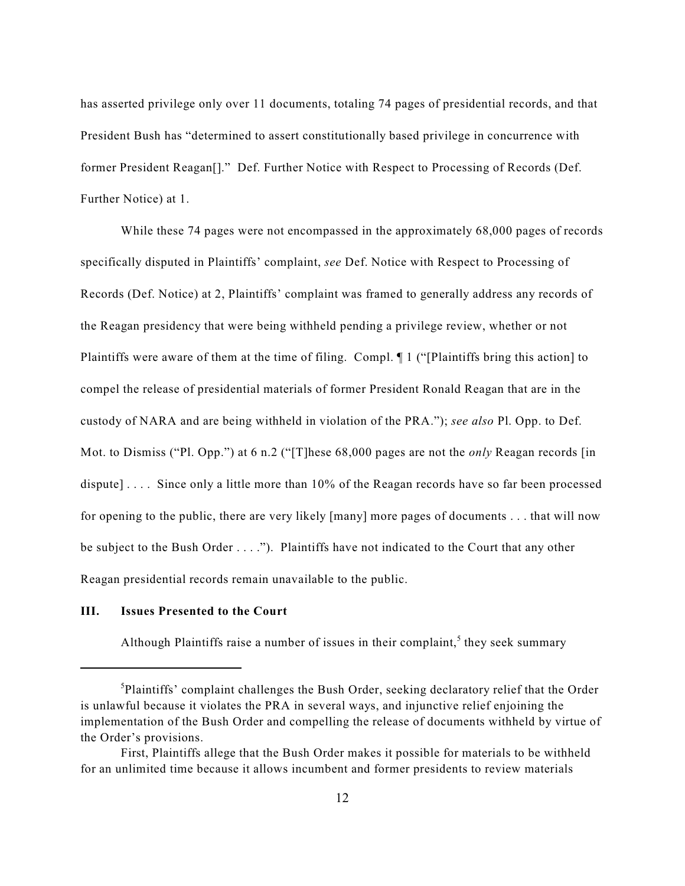has asserted privilege only over 11 documents, totaling 74 pages of presidential records, and that President Bush has "determined to assert constitutionally based privilege in concurrence with former President Reagan[]." Def. Further Notice with Respect to Processing of Records (Def. Further Notice) at 1.

While these 74 pages were not encompassed in the approximately 68,000 pages of records specifically disputed in Plaintiffs' complaint, *see* Def. Notice with Respect to Processing of Records (Def. Notice) at 2, Plaintiffs' complaint was framed to generally address any records of the Reagan presidency that were being withheld pending a privilege review, whether or not Plaintiffs were aware of them at the time of filing. Compl. ¶ 1 ("[Plaintiffs bring this action] to compel the release of presidential materials of former President Ronald Reagan that are in the custody of NARA and are being withheld in violation of the PRA."); *see also* Pl. Opp. to Def. Mot. to Dismiss ("Pl. Opp.") at 6 n.2 ("[T]hese 68,000 pages are not the *only* Reagan records [in dispute].... Since only a little more than 10% of the Reagan records have so far been processed for opening to the public, there are very likely [many] more pages of documents . . . that will now be subject to the Bush Order . . . ."). Plaintiffs have not indicated to the Court that any other Reagan presidential records remain unavailable to the public.

## **III. Issues Presented to the Court**

Although Plaintiffs raise a number of issues in their complaint,<sup>5</sup> they seek summary

 ${}^{5}$ Plaintiffs' complaint challenges the Bush Order, seeking declaratory relief that the Order is unlawful because it violates the PRA in several ways, and injunctive relief enjoining the implementation of the Bush Order and compelling the release of documents withheld by virtue of the Order's provisions.

First, Plaintiffs allege that the Bush Order makes it possible for materials to be withheld for an unlimited time because it allows incumbent and former presidents to review materials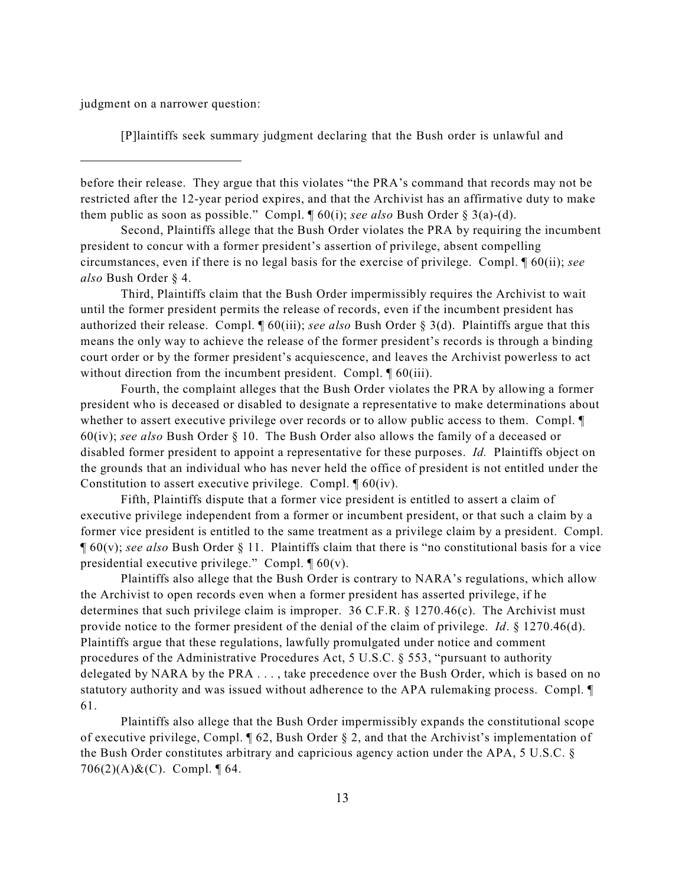judgment on a narrower question:

[P]laintiffs seek summary judgment declaring that the Bush order is unlawful and

before their release. They argue that this violates "the PRA's command that records may not be restricted after the 12-year period expires, and that the Archivist has an affirmative duty to make them public as soon as possible." Compl. ¶ 60(i); *see also* Bush Order § 3(a)-(d).

Second, Plaintiffs allege that the Bush Order violates the PRA by requiring the incumbent president to concur with a former president's assertion of privilege, absent compelling circumstances, even if there is no legal basis for the exercise of privilege. Compl. ¶ 60(ii); *see also* Bush Order § 4.

Third, Plaintiffs claim that the Bush Order impermissibly requires the Archivist to wait until the former president permits the release of records, even if the incumbent president has authorized their release. Compl. ¶ 60(iii); *see also* Bush Order § 3(d). Plaintiffs argue that this means the only way to achieve the release of the former president's records is through a binding court order or by the former president's acquiescence, and leaves the Archivist powerless to act without direction from the incumbent president. Compl.  $\sqrt{ }$  60(iii).

Fourth, the complaint alleges that the Bush Order violates the PRA by allowing a former president who is deceased or disabled to designate a representative to make determinations about whether to assert executive privilege over records or to allow public access to them. Compl. 60(iv); *see also* Bush Order § 10. The Bush Order also allows the family of a deceased or disabled former president to appoint a representative for these purposes. *Id.* Plaintiffs object on the grounds that an individual who has never held the office of president is not entitled under the Constitution to assert executive privilege. Compl. ¶ 60(iv).

Fifth, Plaintiffs dispute that a former vice president is entitled to assert a claim of executive privilege independent from a former or incumbent president, or that such a claim by a former vice president is entitled to the same treatment as a privilege claim by a president. Compl. ¶ 60(v); *see also* Bush Order § 11. Plaintiffs claim that there is "no constitutional basis for a vice presidential executive privilege." Compl.  $\P$  60(v).

Plaintiffs also allege that the Bush Order is contrary to NARA's regulations, which allow the Archivist to open records even when a former president has asserted privilege, if he determines that such privilege claim is improper. 36 C.F.R. § 1270.46(c). The Archivist must provide notice to the former president of the denial of the claim of privilege. *Id*. § 1270.46(d). Plaintiffs argue that these regulations, lawfully promulgated under notice and comment procedures of the Administrative Procedures Act, 5 U.S.C. § 553, "pursuant to authority delegated by NARA by the PRA . . . , take precedence over the Bush Order, which is based on no statutory authority and was issued without adherence to the APA rulemaking process. Compl. ¶ 61.

Plaintiffs also allege that the Bush Order impermissibly expands the constitutional scope of executive privilege, Compl. ¶ 62, Bush Order § 2, and that the Archivist's implementation of the Bush Order constitutes arbitrary and capricious agency action under the APA, 5 U.S.C. § 706(2)(A)&(C). Compl.  $\P$  64.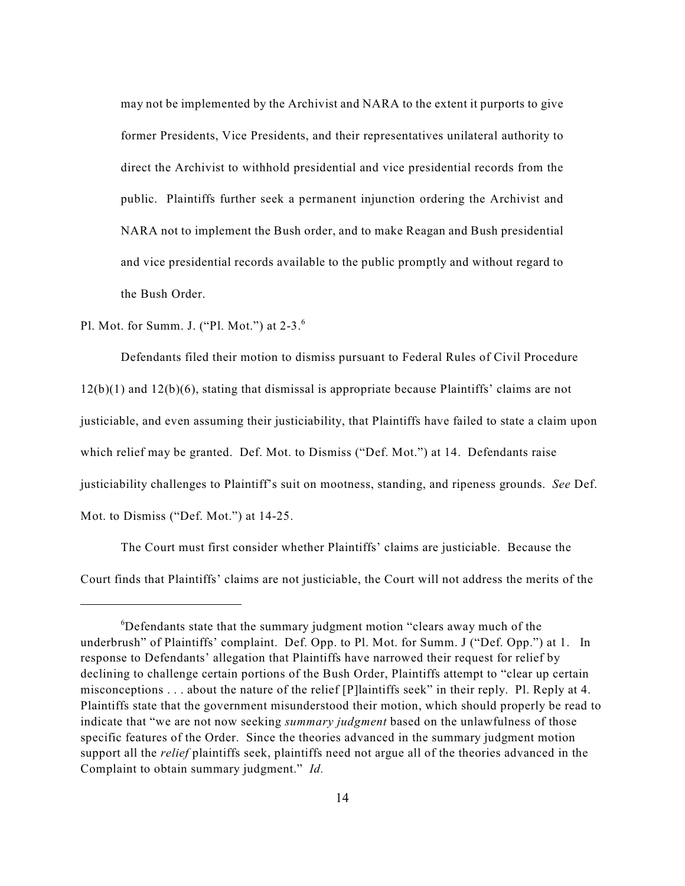may not be implemented by the Archivist and NARA to the extent it purports to give former Presidents, Vice Presidents, and their representatives unilateral authority to direct the Archivist to withhold presidential and vice presidential records from the public. Plaintiffs further seek a permanent injunction ordering the Archivist and NARA not to implement the Bush order, and to make Reagan and Bush presidential and vice presidential records available to the public promptly and without regard to the Bush Order.

Pl. Mot. for Summ. J. ("Pl. Mot.") at 2-3.<sup>6</sup>

Defendants filed their motion to dismiss pursuant to Federal Rules of Civil Procedure 12(b)(1) and 12(b)(6), stating that dismissal is appropriate because Plaintiffs' claims are not justiciable, and even assuming their justiciability, that Plaintiffs have failed to state a claim upon which relief may be granted. Def. Mot. to Dismiss ("Def. Mot.") at 14. Defendants raise justiciability challenges to Plaintiff's suit on mootness, standing, and ripeness grounds. *See* Def. Mot. to Dismiss ("Def. Mot.") at 14-25.

The Court must first consider whether Plaintiffs' claims are justiciable. Because the Court finds that Plaintiffs' claims are not justiciable, the Court will not address the merits of the

 ${}^6$ Defendants state that the summary judgment motion "clears away much of the underbrush" of Plaintiffs' complaint. Def. Opp. to Pl. Mot. for Summ. J ("Def. Opp.") at 1. In response to Defendants' allegation that Plaintiffs have narrowed their request for relief by declining to challenge certain portions of the Bush Order, Plaintiffs attempt to "clear up certain misconceptions . . . about the nature of the relief [P]laintiffs seek" in their reply. Pl. Reply at 4. Plaintiffs state that the government misunderstood their motion, which should properly be read to indicate that "we are not now seeking *summary judgment* based on the unlawfulness of those specific features of the Order. Since the theories advanced in the summary judgment motion support all the *relief* plaintiffs seek, plaintiffs need not argue all of the theories advanced in the Complaint to obtain summary judgment." *Id.*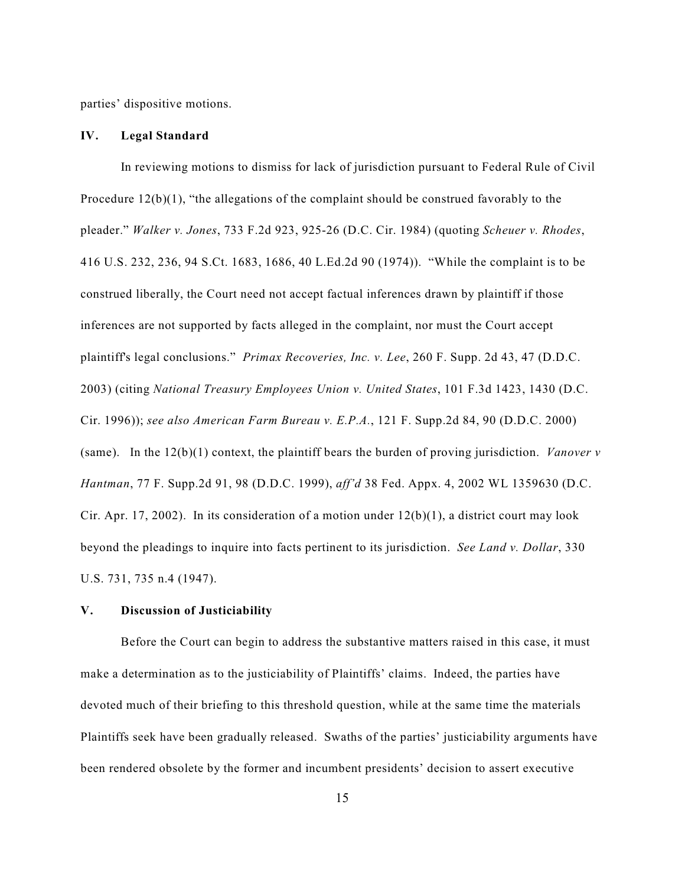parties' dispositive motions.

### **IV. Legal Standard**

In reviewing motions to dismiss for lack of jurisdiction pursuant to Federal Rule of Civil Procedure  $12(b)(1)$ , "the allegations of the complaint should be construed favorably to the pleader." *Walker v. Jones*, 733 F.2d 923, 925-26 (D.C. Cir. 1984) (quoting *Scheuer v. Rhodes*, 416 U.S. 232, 236, 94 S.Ct. 1683, 1686, 40 L.Ed.2d 90 (1974)). "While the complaint is to be construed liberally, the Court need not accept factual inferences drawn by plaintiff if those inferences are not supported by facts alleged in the complaint, nor must the Court accept plaintiff's legal conclusions." *Primax Recoveries, Inc. v. Lee*, 260 F. Supp. 2d 43, 47 (D.D.C. 2003) (citing *National Treasury Employees Union v. United States*, 101 F.3d 1423, 1430 (D.C. Cir. 1996)); *see also American Farm Bureau v. E.P.A.*, 121 F. Supp.2d 84, 90 (D.D.C. 2000) (same). In the 12(b)(1) context, the plaintiff bears the burden of proving jurisdiction. *Vanover v Hantman*, 77 F. Supp.2d 91, 98 (D.D.C. 1999), *aff'd* 38 Fed. Appx. 4, 2002 WL 1359630 (D.C. Cir. Apr. 17, 2002). In its consideration of a motion under  $12(b)(1)$ , a district court may look beyond the pleadings to inquire into facts pertinent to its jurisdiction. *See Land v. Dollar*, 330 U.S. 731, 735 n.4 (1947).

## **V. Discussion of Justiciability**

Before the Court can begin to address the substantive matters raised in this case, it must make a determination as to the justiciability of Plaintiffs' claims. Indeed, the parties have devoted much of their briefing to this threshold question, while at the same time the materials Plaintiffs seek have been gradually released. Swaths of the parties' justiciability arguments have been rendered obsolete by the former and incumbent presidents' decision to assert executive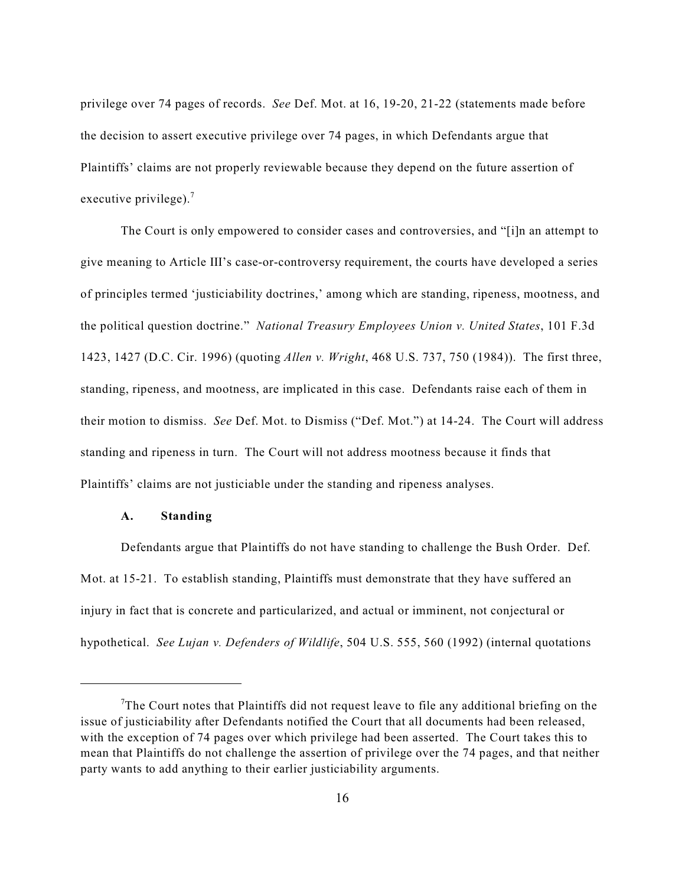privilege over 74 pages of records. *See* Def. Mot. at 16, 19-20, 21-22 (statements made before the decision to assert executive privilege over 74 pages, in which Defendants argue that Plaintiffs' claims are not properly reviewable because they depend on the future assertion of executive privilege). $<sup>7</sup>$ </sup>

The Court is only empowered to consider cases and controversies, and "[i]n an attempt to give meaning to Article III's case-or-controversy requirement, the courts have developed a series of principles termed 'justiciability doctrines,' among which are standing, ripeness, mootness, and the political question doctrine." *National Treasury Employees Union v. United States*, 101 F.3d 1423, 1427 (D.C. Cir. 1996) (quoting *Allen v. Wright*, 468 U.S. 737, 750 (1984)). The first three, standing, ripeness, and mootness, are implicated in this case. Defendants raise each of them in their motion to dismiss. *See* Def. Mot. to Dismiss ("Def. Mot.") at 14-24. The Court will address standing and ripeness in turn. The Court will not address mootness because it finds that Plaintiffs' claims are not justiciable under the standing and ripeness analyses.

#### **A. Standing**

Defendants argue that Plaintiffs do not have standing to challenge the Bush Order. Def. Mot. at 15-21. To establish standing, Plaintiffs must demonstrate that they have suffered an injury in fact that is concrete and particularized, and actual or imminent, not conjectural or hypothetical. *See Lujan v. Defenders of Wildlife*, 504 U.S. 555, 560 (1992) (internal quotations

The Court notes that Plaintiffs did not request leave to file any additional briefing on the issue of justiciability after Defendants notified the Court that all documents had been released, with the exception of 74 pages over which privilege had been asserted. The Court takes this to mean that Plaintiffs do not challenge the assertion of privilege over the 74 pages, and that neither party wants to add anything to their earlier justiciability arguments.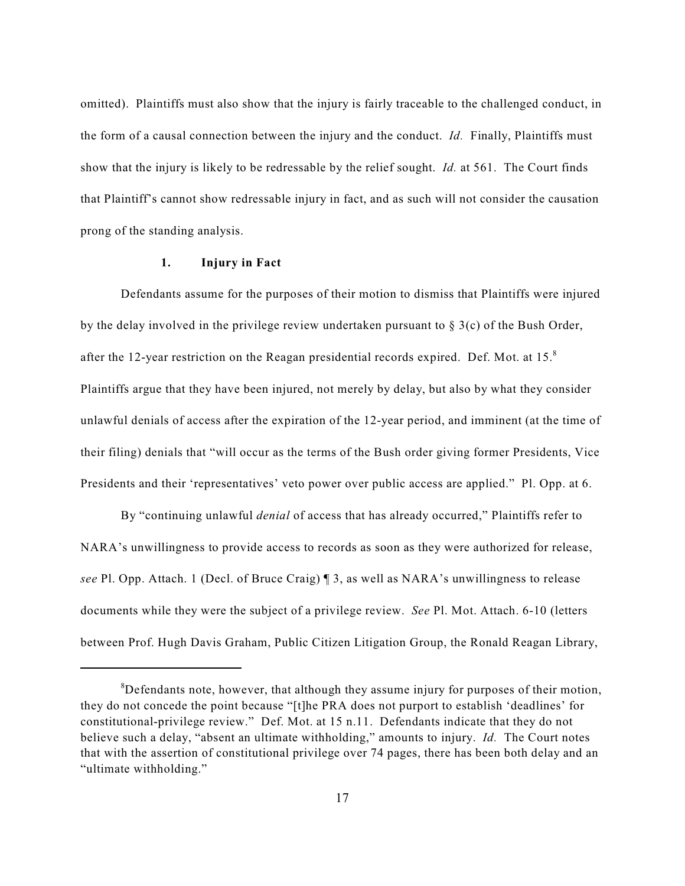omitted). Plaintiffs must also show that the injury is fairly traceable to the challenged conduct, in the form of a causal connection between the injury and the conduct. *Id.* Finally, Plaintiffs must show that the injury is likely to be redressable by the relief sought. *Id.* at 561. The Court finds that Plaintiff's cannot show redressable injury in fact, and as such will not consider the causation prong of the standing analysis.

#### **1. Injury in Fact**

Defendants assume for the purposes of their motion to dismiss that Plaintiffs were injured by the delay involved in the privilege review undertaken pursuant to § 3(c) of the Bush Order, after the 12-year restriction on the Reagan presidential records expired. Def. Mot. at  $15.^8$ Plaintiffs argue that they have been injured, not merely by delay, but also by what they consider unlawful denials of access after the expiration of the 12-year period, and imminent (at the time of their filing) denials that "will occur as the terms of the Bush order giving former Presidents, Vice Presidents and their 'representatives' veto power over public access are applied." Pl. Opp. at 6.

By "continuing unlawful *denial* of access that has already occurred," Plaintiffs refer to NARA's unwillingness to provide access to records as soon as they were authorized for release, *see* Pl. Opp. Attach. 1 (Decl. of Bruce Craig) ¶ 3, as well as NARA's unwillingness to release documents while they were the subject of a privilege review. *See* Pl. Mot. Attach. 6-10 (letters between Prof. Hugh Davis Graham, Public Citizen Litigation Group, the Ronald Reagan Library,

 ${}^{8}$ Defendants note, however, that although they assume injury for purposes of their motion, they do not concede the point because "[t]he PRA does not purport to establish 'deadlines' for constitutional-privilege review." Def. Mot. at 15 n.11. Defendants indicate that they do not believe such a delay, "absent an ultimate withholding," amounts to injury. *Id.* The Court notes that with the assertion of constitutional privilege over 74 pages, there has been both delay and an "ultimate withholding."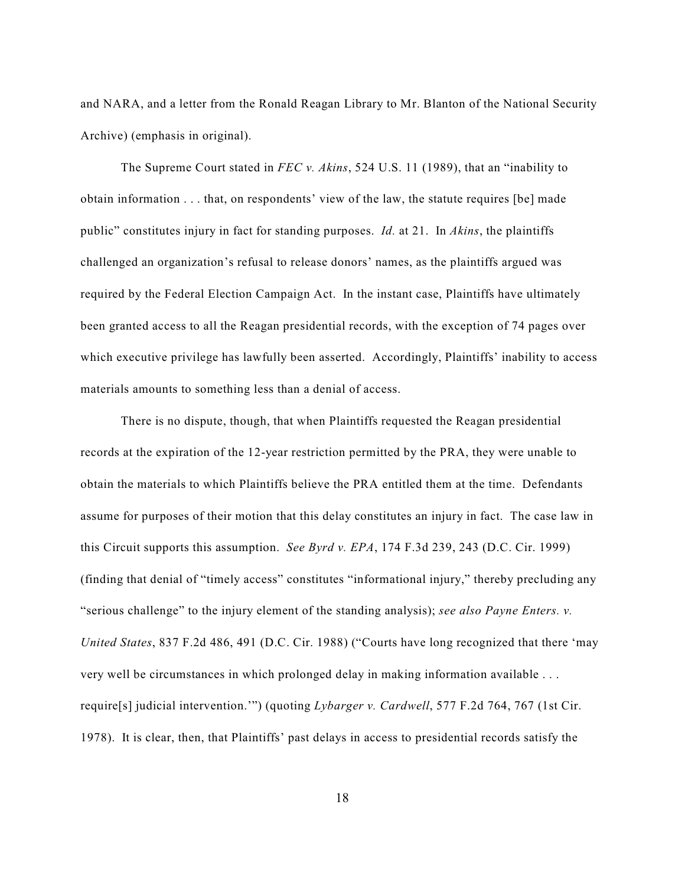and NARA, and a letter from the Ronald Reagan Library to Mr. Blanton of the National Security Archive) (emphasis in original).

The Supreme Court stated in *FEC v. Akins*, 524 U.S. 11 (1989), that an "inability to obtain information . . . that, on respondents' view of the law, the statute requires [be] made public" constitutes injury in fact for standing purposes. *Id.* at 21. In *Akins*, the plaintiffs challenged an organization's refusal to release donors' names, as the plaintiffs argued was required by the Federal Election Campaign Act. In the instant case, Plaintiffs have ultimately been granted access to all the Reagan presidential records, with the exception of 74 pages over which executive privilege has lawfully been asserted. Accordingly, Plaintiffs' inability to access materials amounts to something less than a denial of access.

There is no dispute, though, that when Plaintiffs requested the Reagan presidential records at the expiration of the 12-year restriction permitted by the PRA, they were unable to obtain the materials to which Plaintiffs believe the PRA entitled them at the time. Defendants assume for purposes of their motion that this delay constitutes an injury in fact. The case law in this Circuit supports this assumption. *See Byrd v. EPA*, 174 F.3d 239, 243 (D.C. Cir. 1999) (finding that denial of "timely access" constitutes "informational injury," thereby precluding any "serious challenge" to the injury element of the standing analysis); *see also Payne Enters. v. United States*, 837 F.2d 486, 491 (D.C. Cir. 1988) ("Courts have long recognized that there 'may very well be circumstances in which prolonged delay in making information available . . . require[s] judicial intervention.'") (quoting *Lybarger v. Cardwell*, 577 F.2d 764, 767 (1st Cir. 1978). It is clear, then, that Plaintiffs' past delays in access to presidential records satisfy the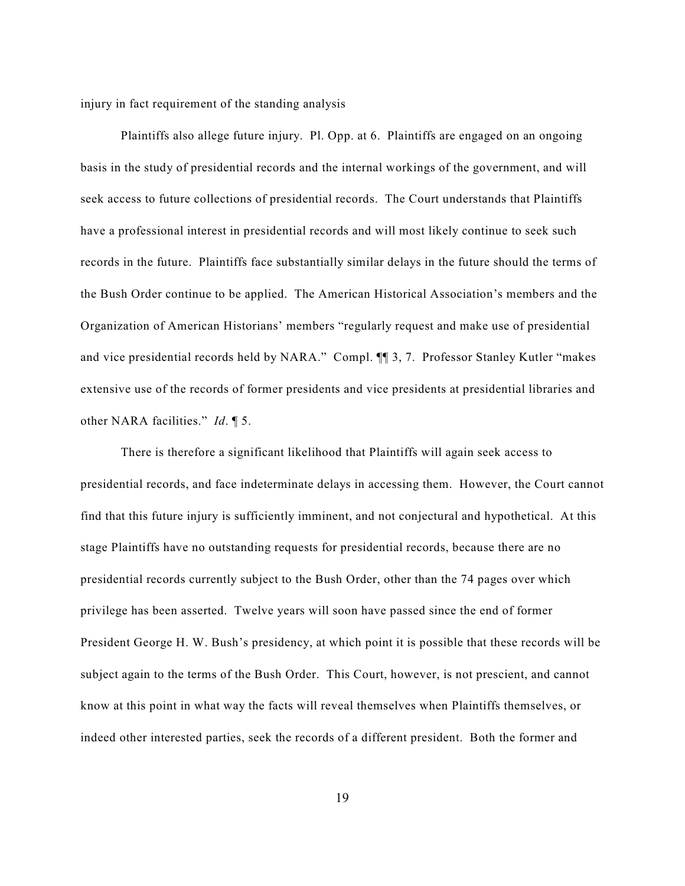injury in fact requirement of the standing analysis

Plaintiffs also allege future injury. Pl. Opp. at 6. Plaintiffs are engaged on an ongoing basis in the study of presidential records and the internal workings of the government, and will seek access to future collections of presidential records. The Court understands that Plaintiffs have a professional interest in presidential records and will most likely continue to seek such records in the future. Plaintiffs face substantially similar delays in the future should the terms of the Bush Order continue to be applied. The American Historical Association's members and the Organization of American Historians' members "regularly request and make use of presidential and vice presidential records held by NARA." Compl. ¶¶ 3, 7. Professor Stanley Kutler "makes extensive use of the records of former presidents and vice presidents at presidential libraries and other NARA facilities." *Id*. ¶ 5.

There is therefore a significant likelihood that Plaintiffs will again seek access to presidential records, and face indeterminate delays in accessing them. However, the Court cannot find that this future injury is sufficiently imminent, and not conjectural and hypothetical. At this stage Plaintiffs have no outstanding requests for presidential records, because there are no presidential records currently subject to the Bush Order, other than the 74 pages over which privilege has been asserted. Twelve years will soon have passed since the end of former President George H. W. Bush's presidency, at which point it is possible that these records will be subject again to the terms of the Bush Order. This Court, however, is not prescient, and cannot know at this point in what way the facts will reveal themselves when Plaintiffs themselves, or indeed other interested parties, seek the records of a different president. Both the former and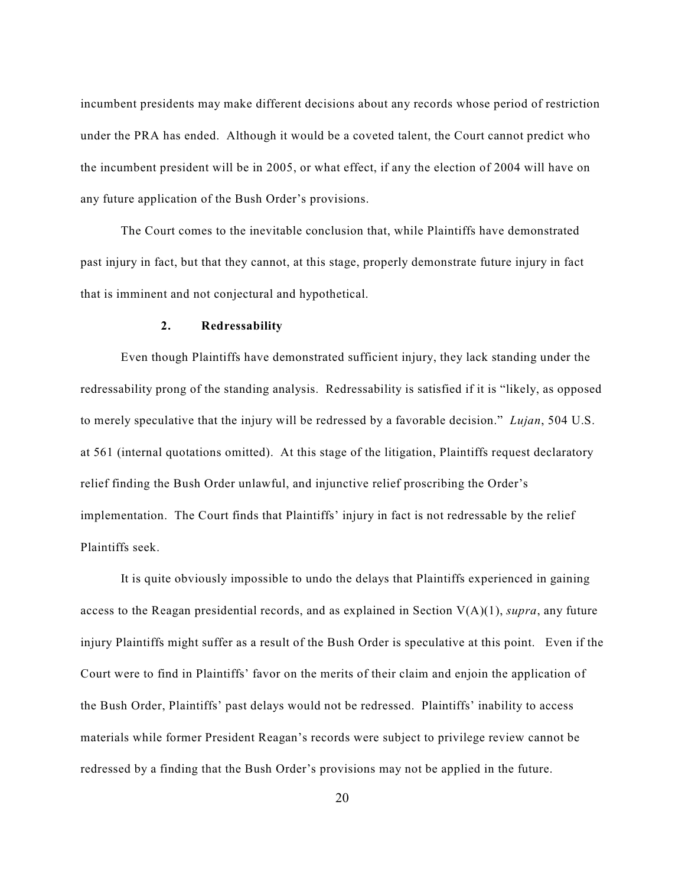incumbent presidents may make different decisions about any records whose period of restriction under the PRA has ended. Although it would be a coveted talent, the Court cannot predict who the incumbent president will be in 2005, or what effect, if any the election of 2004 will have on any future application of the Bush Order's provisions.

The Court comes to the inevitable conclusion that, while Plaintiffs have demonstrated past injury in fact, but that they cannot, at this stage, properly demonstrate future injury in fact that is imminent and not conjectural and hypothetical.

#### **2. Redressability**

Even though Plaintiffs have demonstrated sufficient injury, they lack standing under the redressability prong of the standing analysis. Redressability is satisfied if it is "likely, as opposed to merely speculative that the injury will be redressed by a favorable decision." *Lujan*, 504 U.S. at 561 (internal quotations omitted). At this stage of the litigation, Plaintiffs request declaratory relief finding the Bush Order unlawful, and injunctive relief proscribing the Order's implementation. The Court finds that Plaintiffs' injury in fact is not redressable by the relief Plaintiffs seek.

It is quite obviously impossible to undo the delays that Plaintiffs experienced in gaining access to the Reagan presidential records, and as explained in Section V(A)(1), *supra*, any future injury Plaintiffs might suffer as a result of the Bush Order is speculative at this point. Even if the Court were to find in Plaintiffs' favor on the merits of their claim and enjoin the application of the Bush Order, Plaintiffs' past delays would not be redressed. Plaintiffs' inability to access materials while former President Reagan's records were subject to privilege review cannot be redressed by a finding that the Bush Order's provisions may not be applied in the future.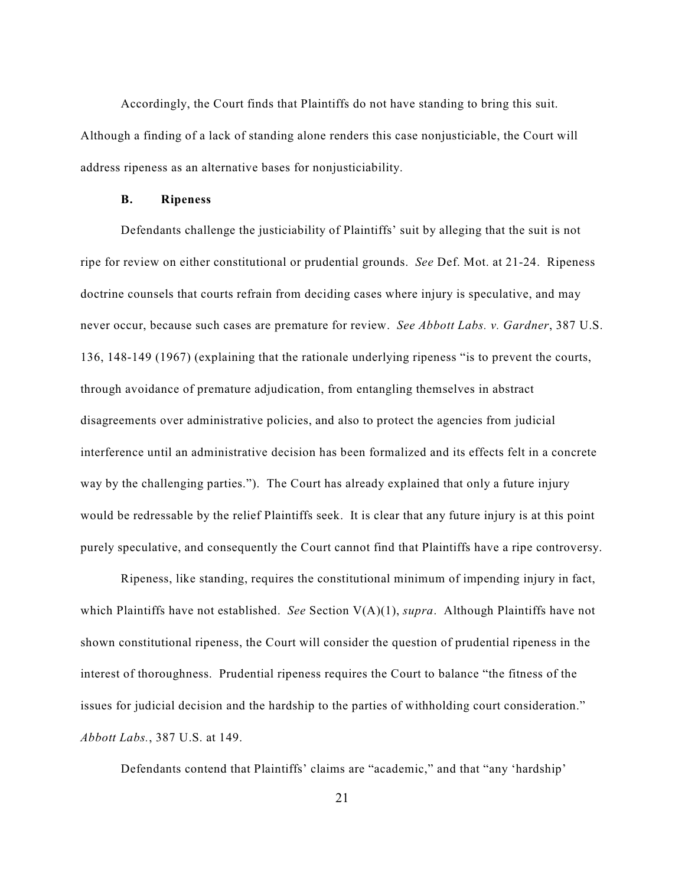Accordingly, the Court finds that Plaintiffs do not have standing to bring this suit. Although a finding of a lack of standing alone renders this case nonjusticiable, the Court will address ripeness as an alternative bases for nonjusticiability.

#### **B. Ripeness**

Defendants challenge the justiciability of Plaintiffs' suit by alleging that the suit is not ripe for review on either constitutional or prudential grounds. *See* Def. Mot. at 21-24. Ripeness doctrine counsels that courts refrain from deciding cases where injury is speculative, and may never occur, because such cases are premature for review. *See Abbott Labs. v. Gardner*, 387 U.S. 136, 148-149 (1967) (explaining that the rationale underlying ripeness "is to prevent the courts, through avoidance of premature adjudication, from entangling themselves in abstract disagreements over administrative policies, and also to protect the agencies from judicial interference until an administrative decision has been formalized and its effects felt in a concrete way by the challenging parties."). The Court has already explained that only a future injury would be redressable by the relief Plaintiffs seek. It is clear that any future injury is at this point purely speculative, and consequently the Court cannot find that Plaintiffs have a ripe controversy.

Ripeness, like standing, requires the constitutional minimum of impending injury in fact, which Plaintiffs have not established. *See* Section V(A)(1), *supra*. Although Plaintiffs have not shown constitutional ripeness, the Court will consider the question of prudential ripeness in the interest of thoroughness. Prudential ripeness requires the Court to balance "the fitness of the issues for judicial decision and the hardship to the parties of withholding court consideration." *Abbott Labs.*, 387 U.S. at 149.

Defendants contend that Plaintiffs' claims are "academic," and that "any 'hardship'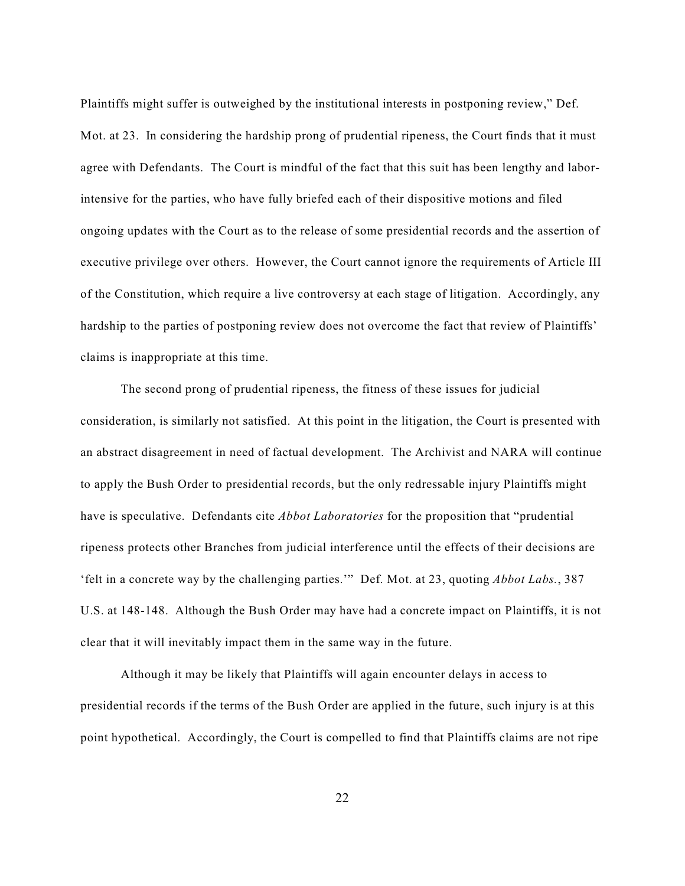Plaintiffs might suffer is outweighed by the institutional interests in postponing review," Def. Mot. at 23. In considering the hardship prong of prudential ripeness, the Court finds that it must agree with Defendants. The Court is mindful of the fact that this suit has been lengthy and laborintensive for the parties, who have fully briefed each of their dispositive motions and filed ongoing updates with the Court as to the release of some presidential records and the assertion of executive privilege over others. However, the Court cannot ignore the requirements of Article III of the Constitution, which require a live controversy at each stage of litigation. Accordingly, any hardship to the parties of postponing review does not overcome the fact that review of Plaintiffs' claims is inappropriate at this time.

The second prong of prudential ripeness, the fitness of these issues for judicial consideration, is similarly not satisfied. At this point in the litigation, the Court is presented with an abstract disagreement in need of factual development. The Archivist and NARA will continue to apply the Bush Order to presidential records, but the only redressable injury Plaintiffs might have is speculative. Defendants cite *Abbot Laboratories* for the proposition that "prudential ripeness protects other Branches from judicial interference until the effects of their decisions are 'felt in a concrete way by the challenging parties.'" Def. Mot. at 23, quoting *Abbot Labs.*, 387 U.S. at 148-148. Although the Bush Order may have had a concrete impact on Plaintiffs, it is not clear that it will inevitably impact them in the same way in the future.

Although it may be likely that Plaintiffs will again encounter delays in access to presidential records if the terms of the Bush Order are applied in the future, such injury is at this point hypothetical. Accordingly, the Court is compelled to find that Plaintiffs claims are not ripe